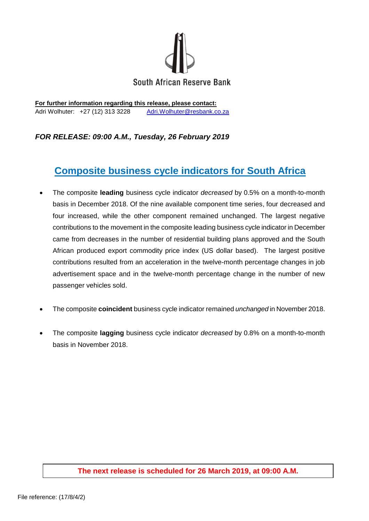

**For further information regarding this release, please contact:** Adri Wolhuter: +27 (12) 313 3228 [Adri.Wolhuter@resbank.co.za](mailto:Adri.Wolhuter@resbank.co.za)

## *FOR RELEASE: 09:00 A.M., Tuesday, 26 February 2019*

## **Composite business cycle indicators for South Africa**

- The composite **leading** business cycle indicator *decreased* by 0.5% on a month-to-month basis in December 2018. Of the nine available component time series, four decreased and four increased, while the other component remained unchanged. The largest negative contributions to the movement in the composite leading business cycle indicator in December came from decreases in the number of residential building plans approved and the South African produced export commodity price index (US dollar based). The largest positive contributions resulted from an acceleration in the twelve-month percentage changes in job advertisement space and in the twelve-month percentage change in the number of new passenger vehicles sold.
- The composite **coincident** business cycle indicator remained *unchanged* in November 2018.
- The composite **lagging** business cycle indicator *decreased* by 0.8% on a month-to-month basis in November 2018.

## **The next release is scheduled for 26 March 2019, at 09:00 A.M.**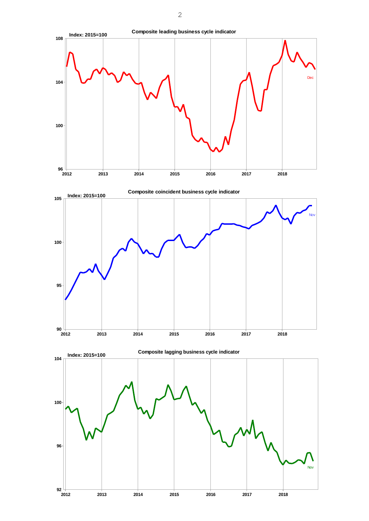